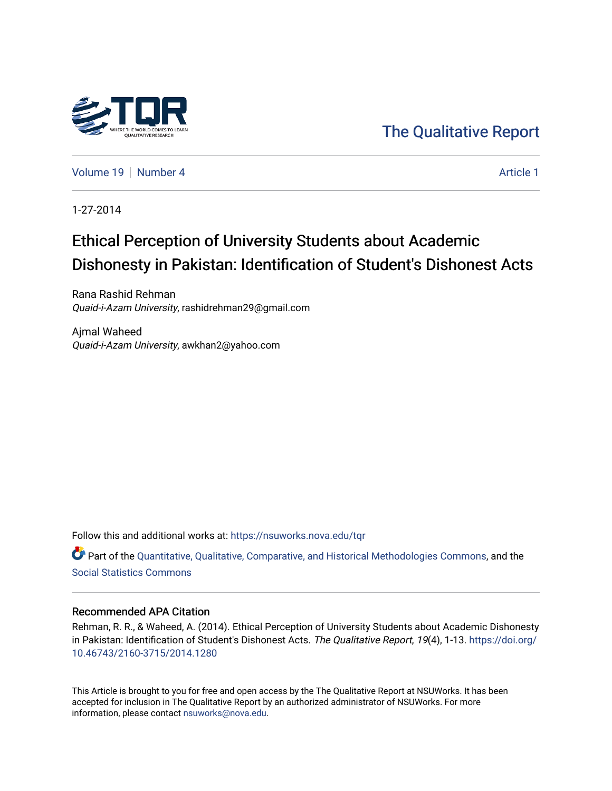

[The Qualitative Report](https://nsuworks.nova.edu/tqr) 

[Volume 19](https://nsuworks.nova.edu/tqr/vol19) [Number 4](https://nsuworks.nova.edu/tqr/vol19/iss4) [Article 1](https://nsuworks.nova.edu/tqr/vol19/iss4/1) Article 1

1-27-2014

# Ethical Perception of University Students about Academic Dishonesty in Pakistan: Identification of Student's Dishonest Acts

Rana Rashid Rehman Quaid-i-Azam University, rashidrehman29@gmail.com

Ajmal Waheed Quaid-i-Azam University, awkhan2@yahoo.com

Follow this and additional works at: [https://nsuworks.nova.edu/tqr](https://nsuworks.nova.edu/tqr?utm_source=nsuworks.nova.edu%2Ftqr%2Fvol19%2Fiss4%2F1&utm_medium=PDF&utm_campaign=PDFCoverPages) 

Part of the [Quantitative, Qualitative, Comparative, and Historical Methodologies Commons,](http://network.bepress.com/hgg/discipline/423?utm_source=nsuworks.nova.edu%2Ftqr%2Fvol19%2Fiss4%2F1&utm_medium=PDF&utm_campaign=PDFCoverPages) and the [Social Statistics Commons](http://network.bepress.com/hgg/discipline/1275?utm_source=nsuworks.nova.edu%2Ftqr%2Fvol19%2Fiss4%2F1&utm_medium=PDF&utm_campaign=PDFCoverPages) 

#### Recommended APA Citation

Rehman, R. R., & Waheed, A. (2014). Ethical Perception of University Students about Academic Dishonesty in Pakistan: Identification of Student's Dishonest Acts. The Qualitative Report, 19(4), 1-13. [https://doi.org/](https://doi.org/10.46743/2160-3715/2014.1280) [10.46743/2160-3715/2014.1280](https://doi.org/10.46743/2160-3715/2014.1280)

This Article is brought to you for free and open access by the The Qualitative Report at NSUWorks. It has been accepted for inclusion in The Qualitative Report by an authorized administrator of NSUWorks. For more information, please contact [nsuworks@nova.edu.](mailto:nsuworks@nova.edu)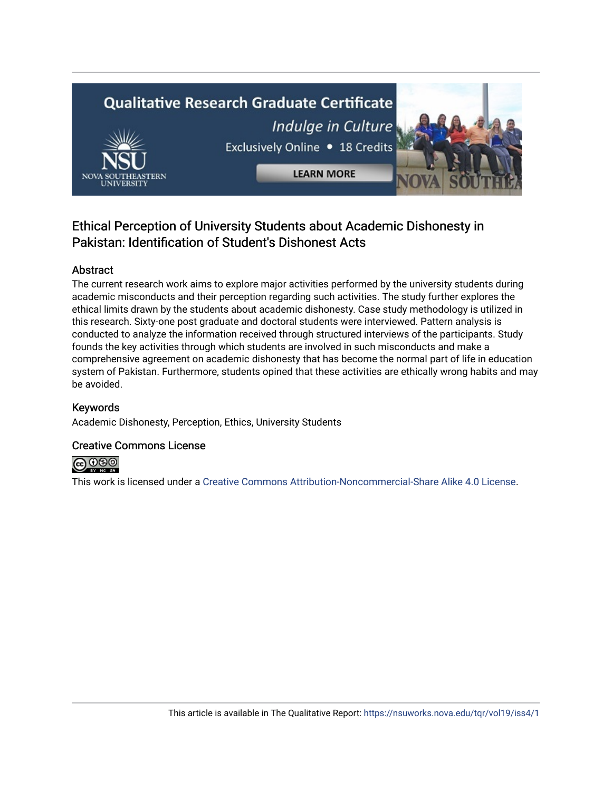# **Qualitative Research Graduate Certificate** Indulge in Culture Exclusively Online . 18 Credits **LEARN MORE**

# Ethical Perception of University Students about Academic Dishonesty in Pakistan: Identification of Student's Dishonest Acts

# Abstract

The current research work aims to explore major activities performed by the university students during academic misconducts and their perception regarding such activities. The study further explores the ethical limits drawn by the students about academic dishonesty. Case study methodology is utilized in this research. Sixty-one post graduate and doctoral students were interviewed. Pattern analysis is conducted to analyze the information received through structured interviews of the participants. Study founds the key activities through which students are involved in such misconducts and make a comprehensive agreement on academic dishonesty that has become the normal part of life in education system of Pakistan. Furthermore, students opined that these activities are ethically wrong habits and may be avoided.

# Keywords

Academic Dishonesty, Perception, Ethics, University Students

# Creative Commons License



This work is licensed under a [Creative Commons Attribution-Noncommercial-Share Alike 4.0 License](https://creativecommons.org/licenses/by-nc-sa/4.0/).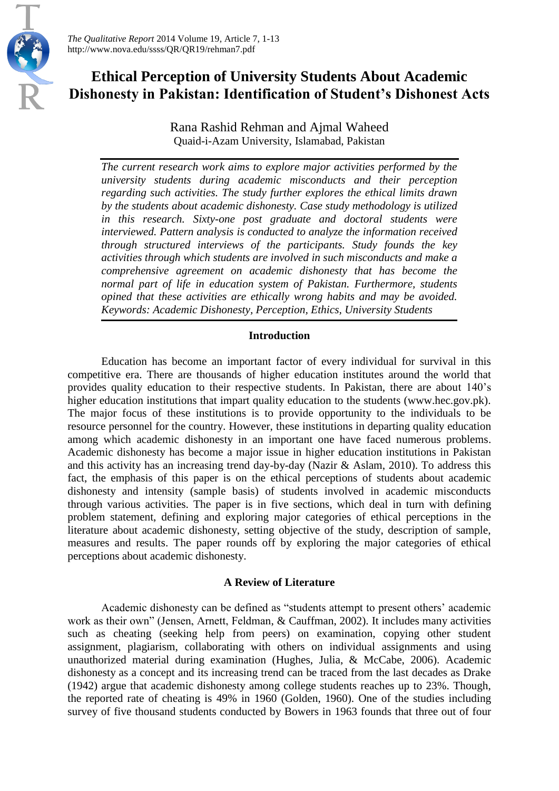*The Qualitative Report* 2014 Volume 19, Article 7, 1-13 http://www.nova.edu/ssss/QR/QR19/rehman7.pdf

# **Ethical Perception of University Students About Academic Dishonesty in Pakistan: Identification of Student's Dishonest Acts**

Rana Rashid Rehman and Ajmal Waheed Quaid-i-Azam University, Islamabad, Pakistan

*The current research work aims to explore major activities performed by the university students during academic misconducts and their perception regarding such activities. The study further explores the ethical limits drawn by the students about academic dishonesty. Case study methodology is utilized in this research. Sixty-one post graduate and doctoral students were interviewed. Pattern analysis is conducted to analyze the information received through structured interviews of the participants. Study founds the key activities through which students are involved in such misconducts and make a comprehensive agreement on academic dishonesty that has become the normal part of life in education system of Pakistan. Furthermore, students opined that these activities are ethically wrong habits and may be avoided. Keywords: Academic Dishonesty, Perception, Ethics, University Students*

## **Introduction**

Education has become an important factor of every individual for survival in this competitive era. There are thousands of higher education institutes around the world that provides quality education to their respective students. In Pakistan, there are about 140's higher education institutions that impart quality education to the students (www.hec.gov.pk). The major focus of these institutions is to provide opportunity to the individuals to be resource personnel for the country. However, these institutions in departing quality education among which academic dishonesty in an important one have faced numerous problems. Academic dishonesty has become a major issue in higher education institutions in Pakistan and this activity has an increasing trend day-by-day (Nazir & Aslam, 2010). To address this fact, the emphasis of this paper is on the ethical perceptions of students about academic dishonesty and intensity (sample basis) of students involved in academic misconducts through various activities. The paper is in five sections, which deal in turn with defining problem statement, defining and exploring major categories of ethical perceptions in the literature about academic dishonesty, setting objective of the study, description of sample, measures and results. The paper rounds off by exploring the major categories of ethical perceptions about academic dishonesty.

#### **A Review of Literature**

Academic dishonesty can be defined as "students attempt to present others' academic work as their own" (Jensen, Arnett, Feldman, & Cauffman, 2002). It includes many activities such as cheating (seeking help from peers) on examination, copying other student assignment, plagiarism, collaborating with others on individual assignments and using unauthorized material during examination (Hughes, Julia, & McCabe, 2006). Academic dishonesty as a concept and its increasing trend can be traced from the last decades as Drake (1942) argue that academic dishonesty among college students reaches up to 23%. Though, the reported rate of cheating is 49% in 1960 (Golden, 1960). One of the studies including survey of five thousand students conducted by Bowers in 1963 founds that three out of four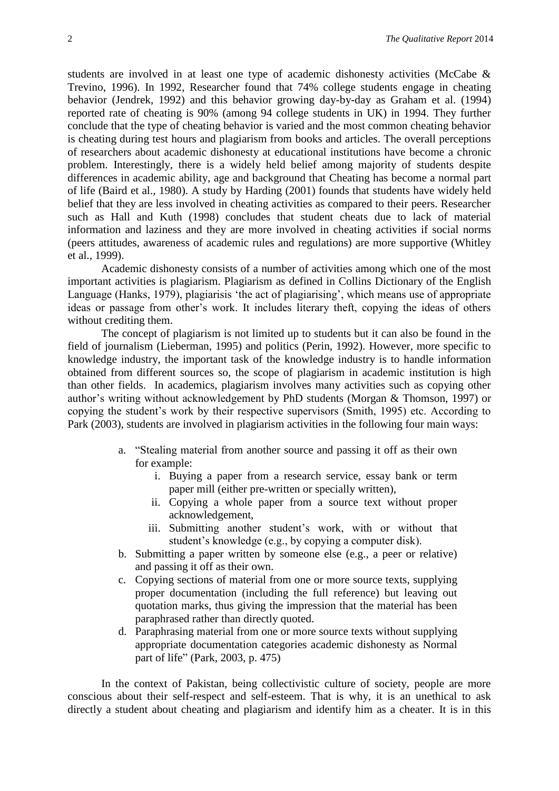students are involved in at least one type of academic dishonesty activities (McCabe & Trevino, 1996). In 1992, Researcher found that 74% college students engage in cheating behavior (Jendrek, 1992) and this behavior growing day-by-day as Graham et al. (1994) reported rate of cheating is 90% (among 94 college students in UK) in 1994. They further conclude that the type of cheating behavior is varied and the most common cheating behavior is cheating during test hours and plagiarism from books and articles. The overall perceptions of researchers about academic dishonesty at educational institutions have become a chronic problem. Interestingly, there is a widely held belief among majority of students despite differences in academic ability, age and background that Cheating has become a normal part of life (Baird et al., 1980). A study by Harding (2001) founds that students have widely held belief that they are less involved in cheating activities as compared to their peers. Researcher such as Hall and Kuth (1998) concludes that student cheats due to lack of material information and laziness and they are more involved in cheating activities if social norms (peers attitudes, awareness of academic rules and regulations) are more supportive (Whitley et al., 1999).

Academic dishonesty consists of a number of activities among which one of the most important activities is plagiarism. Plagiarism as defined in Collins Dictionary of the English Language (Hanks, 1979), plagiarisis 'the act of plagiarising', which means use of appropriate ideas or passage from other's work. It includes literary theft, copying the ideas of others without crediting them.

The concept of plagiarism is not limited up to students but it can also be found in the field of journalism (Lieberman, 1995) and politics (Perin, 1992). However, more specific to knowledge industry, the important task of the knowledge industry is to handle information obtained from different sources so, the scope of plagiarism in academic institution is high than other fields. In academics, plagiarism involves many activities such as copying other author's writing without acknowledgement by PhD students (Morgan & Thomson, 1997) or copying the student's work by their respective supervisors (Smith, 1995) etc. According to Park (2003), students are involved in plagiarism activities in the following four main ways:

- a. "Stealing material from another source and passing it off as their own for example:
	- i. Buying a paper from a research service, essay bank or term paper mill (either pre-written or specially written),
	- ii. Copying a whole paper from a source text without proper acknowledgement,
	- iii. Submitting another student's work, with or without that student's knowledge (e.g., by copying a computer disk).
- b. Submitting a paper written by someone else (e.g., a peer or relative) and passing it off as their own.
- c. Copying sections of material from one or more source texts, supplying proper documentation (including the full reference) but leaving out quotation marks, thus giving the impression that the material has been paraphrased rather than directly quoted.
- d. Paraphrasing material from one or more source texts without supplying appropriate documentation categories academic dishonesty as Normal part of life" (Park, 2003, p. 475)

In the context of Pakistan, being collectivistic culture of society, people are more conscious about their self-respect and self-esteem. That is why, it is an unethical to ask directly a student about cheating and plagiarism and identify him as a cheater. It is in this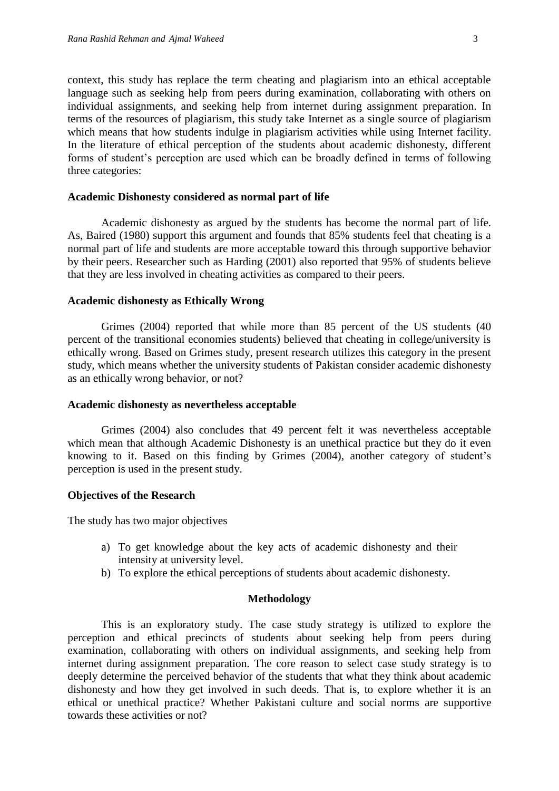context, this study has replace the term cheating and plagiarism into an ethical acceptable language such as seeking help from peers during examination, collaborating with others on individual assignments, and seeking help from internet during assignment preparation. In terms of the resources of plagiarism, this study take Internet as a single source of plagiarism which means that how students indulge in plagiarism activities while using Internet facility. In the literature of ethical perception of the students about academic dishonesty, different forms of student's perception are used which can be broadly defined in terms of following three categories:

#### **Academic Dishonesty considered as normal part of life**

Academic dishonesty as argued by the students has become the normal part of life. As, Baired (1980) support this argument and founds that 85% students feel that cheating is a normal part of life and students are more acceptable toward this through supportive behavior by their peers. Researcher such as Harding (2001) also reported that 95% of students believe that they are less involved in cheating activities as compared to their peers.

#### **Academic dishonesty as Ethically Wrong**

Grimes (2004) reported that while more than 85 percent of the US students (40 percent of the transitional economies students) believed that cheating in college/university is ethically wrong. Based on Grimes study, present research utilizes this category in the present study, which means whether the university students of Pakistan consider academic dishonesty as an ethically wrong behavior, or not?

#### **Academic dishonesty as nevertheless acceptable**

Grimes (2004) also concludes that 49 percent felt it was nevertheless acceptable which mean that although Academic Dishonesty is an unethical practice but they do it even knowing to it. Based on this finding by Grimes (2004), another category of student's perception is used in the present study.

#### **Objectives of the Research**

The study has two major objectives

- a) To get knowledge about the key acts of academic dishonesty and their intensity at university level.
- b) To explore the ethical perceptions of students about academic dishonesty.

#### **Methodology**

This is an exploratory study. The case study strategy is utilized to explore the perception and ethical precincts of students about seeking help from peers during examination, collaborating with others on individual assignments, and seeking help from internet during assignment preparation. The core reason to select case study strategy is to deeply determine the perceived behavior of the students that what they think about academic dishonesty and how they get involved in such deeds. That is, to explore whether it is an ethical or unethical practice? Whether Pakistani culture and social norms are supportive towards these activities or not?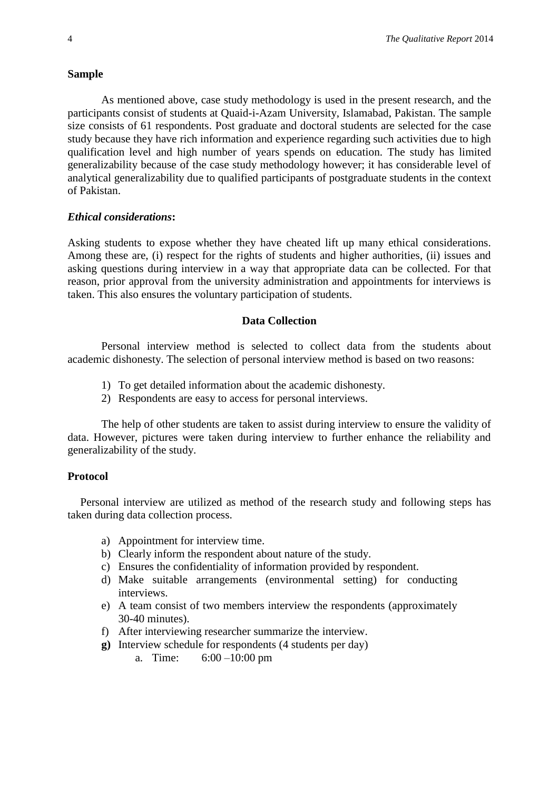#### **Sample**

As mentioned above, case study methodology is used in the present research, and the participants consist of students at Quaid-i-Azam University, Islamabad, Pakistan. The sample size consists of 61 respondents. Post graduate and doctoral students are selected for the case study because they have rich information and experience regarding such activities due to high qualification level and high number of years spends on education. The study has limited generalizability because of the case study methodology however; it has considerable level of analytical generalizability due to qualified participants of postgraduate students in the context of Pakistan.

#### *Ethical considerations***:**

Asking students to expose whether they have cheated lift up many ethical considerations. Among these are, (i) respect for the rights of students and higher authorities, (ii) issues and asking questions during interview in a way that appropriate data can be collected. For that reason, prior approval from the university administration and appointments for interviews is taken. This also ensures the voluntary participation of students.

#### **Data Collection**

Personal interview method is selected to collect data from the students about academic dishonesty. The selection of personal interview method is based on two reasons:

- 1) To get detailed information about the academic dishonesty.
- 2) Respondents are easy to access for personal interviews.

The help of other students are taken to assist during interview to ensure the validity of data. However, pictures were taken during interview to further enhance the reliability and generalizability of the study.

#### **Protocol**

Personal interview are utilized as method of the research study and following steps has taken during data collection process.

- a) Appointment for interview time.
- b) Clearly inform the respondent about nature of the study.
- c) Ensures the confidentiality of information provided by respondent.
- d) Make suitable arrangements (environmental setting) for conducting interviews.
- e) A team consist of two members interview the respondents (approximately 30-40 minutes).
- f) After interviewing researcher summarize the interview.
- **g)** Interview schedule for respondents (4 students per day)
	- a. Time: 6:00 –10:00 pm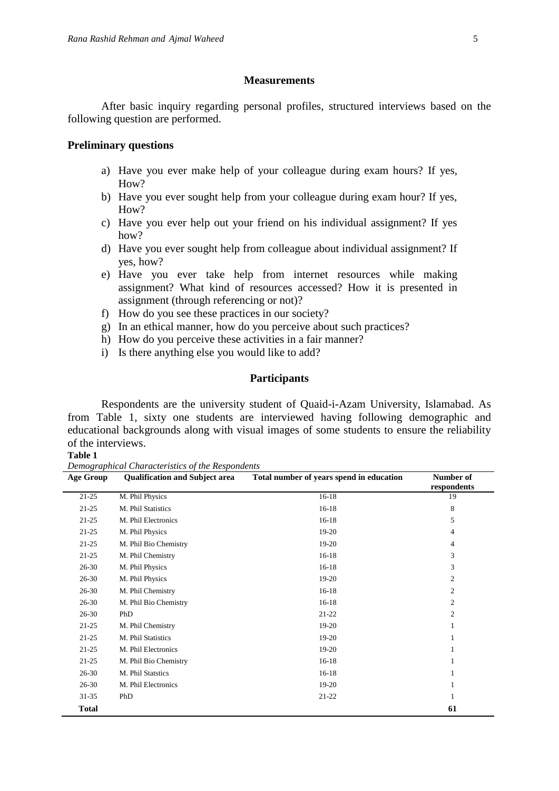# **Measurements**

After basic inquiry regarding personal profiles, structured interviews based on the following question are performed.

#### **Preliminary questions**

- a) Have you ever make help of your colleague during exam hours? If yes, How?
- b) Have you ever sought help from your colleague during exam hour? If yes, How?
- c) Have you ever help out your friend on his individual assignment? If yes how?
- d) Have you ever sought help from colleague about individual assignment? If yes, how?
- e) Have you ever take help from internet resources while making assignment? What kind of resources accessed? How it is presented in assignment (through referencing or not)?
- f) How do you see these practices in our society?
- g) In an ethical manner, how do you perceive about such practices?
- h) How do you perceive these activities in a fair manner?
- i) Is there anything else you would like to add?

#### **Participants**

Respondents are the university student of Quaid-i-Azam University, Islamabad. As from Table 1, sixty one students are interviewed having following demographic and educational backgrounds along with visual images of some students to ensure the reliability of the interviews.

#### **Table 1**

*Demographical Characteristics of the Respondents*

| <b>Age Group</b> | <b>Qualification and Subject area</b> | Total number of years spend in education | Number of<br>respondents |
|------------------|---------------------------------------|------------------------------------------|--------------------------|
| $21 - 25$        | M. Phil Physics                       | $16 - 18$                                | 19                       |
| $21 - 25$        | M. Phil Statistics                    | $16 - 18$                                | 8                        |
| $21 - 25$        | M. Phil Electronics                   | $16 - 18$                                | 5                        |
| $21 - 25$        | M. Phil Physics                       | 19-20                                    | 4                        |
| $21 - 25$        | M. Phil Bio Chemistry                 | 19-20                                    | $\overline{4}$           |
| $21 - 25$        | M. Phil Chemistry                     | $16 - 18$                                | 3                        |
| $26 - 30$        | M. Phil Physics                       | $16 - 18$                                | 3                        |
| $26 - 30$        | M. Phil Physics                       | 19-20                                    | $\overline{c}$           |
| $26 - 30$        | M. Phil Chemistry                     | $16 - 18$                                | $\overline{c}$           |
| $26 - 30$        | M. Phil Bio Chemistry                 | $16 - 18$                                | 2                        |
| $26 - 30$        | PhD                                   | $21 - 22$                                | $\overline{c}$           |
| $21 - 25$        | M. Phil Chemistry                     | 19-20                                    |                          |
| $21 - 25$        | M. Phil Statistics                    | 19-20                                    |                          |
| $21 - 25$        | M. Phil Electronics                   | 19-20                                    |                          |
| $21 - 25$        | M. Phil Bio Chemistry                 | $16 - 18$                                |                          |
| $26 - 30$        | M. Phil Statstics                     | $16 - 18$                                |                          |
| $26 - 30$        | M. Phil Electronics                   | 19-20                                    |                          |
| $31 - 35$        | PhD                                   | $21 - 22$                                |                          |
| <b>Total</b>     |                                       |                                          | 61                       |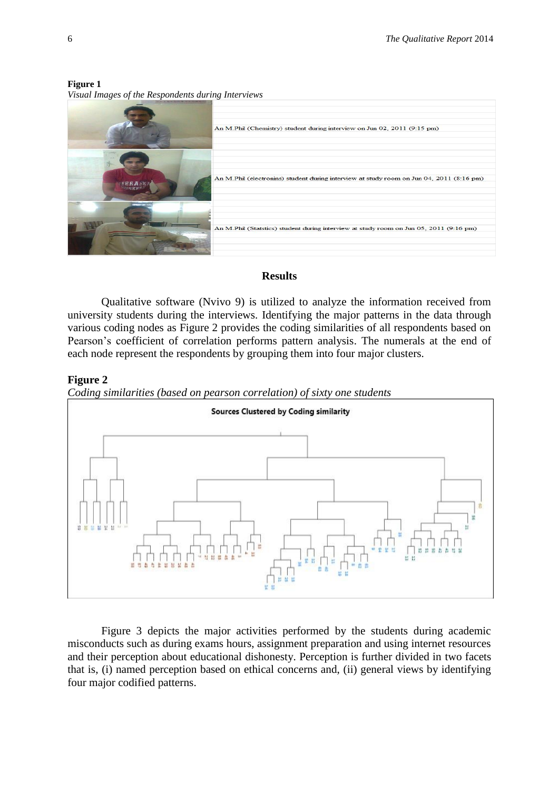An M.Phil (Chemistry) student during interview on Jun 02, 2011 (9:15 pm) An M.Phil (electronins) student during interview at study room on Jun 04, 2011 (8:16 pm) An M.Phil (Statstics) student during interview at study room on Jun 05, 2011 (9:16 pm)

#### **Figure 1** *Visual Images of the Respondents during Interviews*

# **Results**

Qualitative software (Nvivo 9) is utilized to analyze the information received from university students during the interviews. Identifying the major patterns in the data through various coding nodes as Figure 2 provides the coding similarities of all respondents based on Pearson's coefficient of correlation performs pattern analysis. The numerals at the end of each node represent the respondents by grouping them into four major clusters.

# **Figure 2**

*Coding similarities (based on pearson correlation) of sixty one students* 



Figure 3 depicts the major activities performed by the students during academic misconducts such as during exams hours, assignment preparation and using internet resources and their perception about educational dishonesty. Perception is further divided in two facets that is, (i) named perception based on ethical concerns and, (ii) general views by identifying four major codified patterns.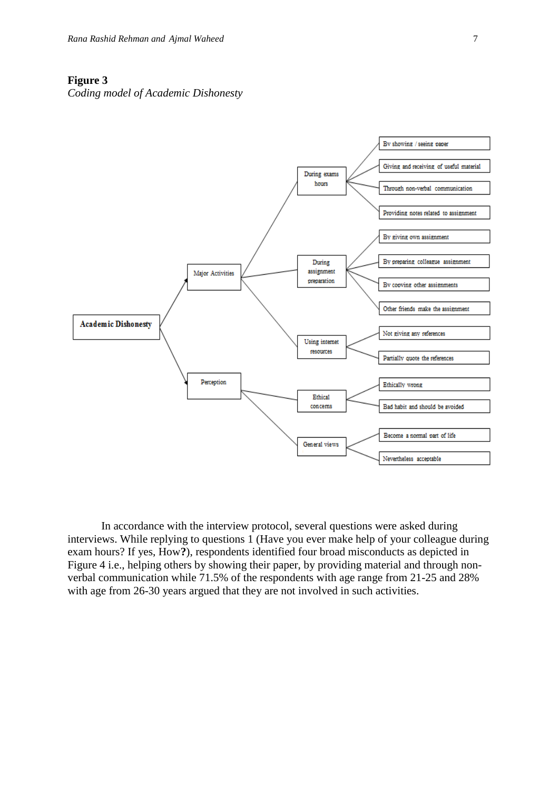## **Figure 3**

*Coding model of Academic Dishonesty*



In accordance with the interview protocol, several questions were asked during interviews. While replying to questions 1 (Have you ever make help of your colleague during exam hours? If yes, How**?**), respondents identified four broad misconducts as depicted in Figure 4 i.e., helping others by showing their paper, by providing material and through nonverbal communication while 71.5% of the respondents with age range from 21-25 and 28% with age from 26-30 years argued that they are not involved in such activities.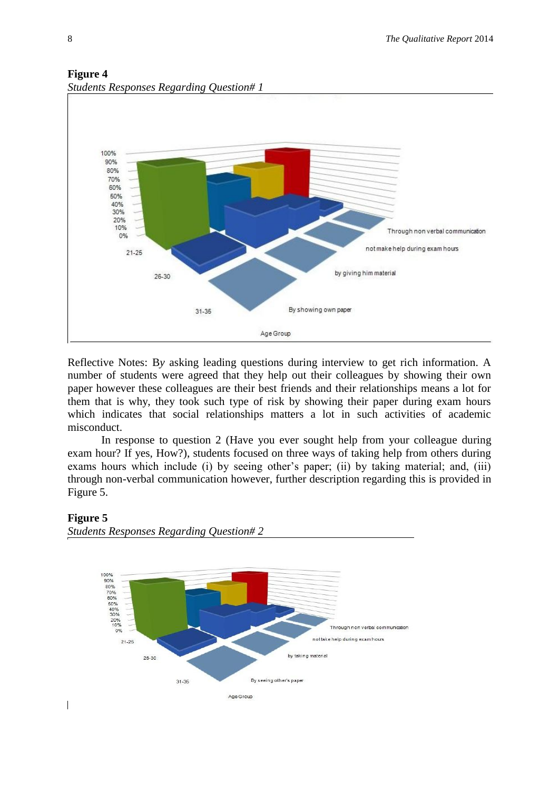

# **Figure 4** *Students Responses Regarding Question# 1*

Reflective Notes: B*y* asking leading questions during interview to get rich information. A number of students were agreed that they help out their colleagues by showing their own paper however these colleagues are their best friends and their relationships means a lot for them that is why, they took such type of risk by showing their paper during exam hours which indicates that social relationships matters a lot in such activities of academic misconduct.

In response to question 2 (Have you ever sought help from your colleague during exam hour? If yes, How?), students focused on three ways of taking help from others during exams hours which include (i) by seeing other's paper; (ii) by taking material; and, (iii) through non-verbal communication however, further description regarding this is provided in Figure 5.

# **Figure 5**

 $\overline{\phantom{a}}$ 



*Students Responses Regarding Question# 2*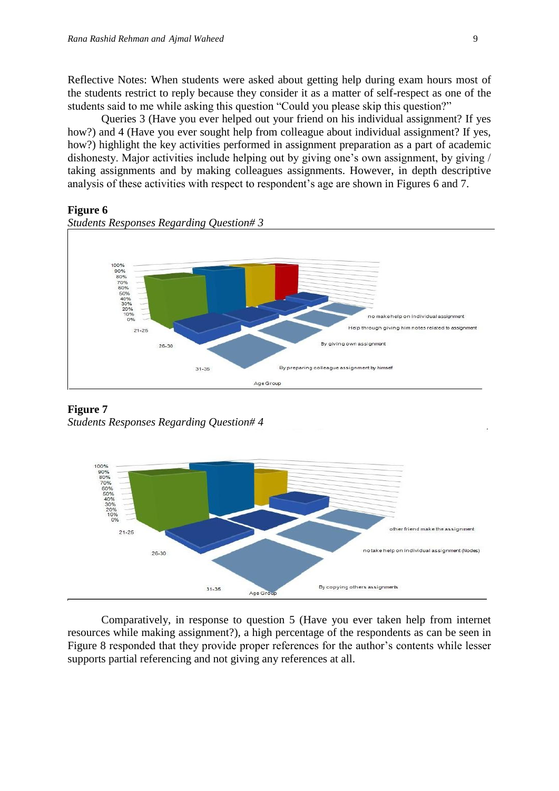Reflective Notes: When students were asked about getting help during exam hours most of the students restrict to reply because they consider it as a matter of self-respect as one of the students said to me while asking this question "Could you please skip this question?"

Queries 3 (Have you ever helped out your friend on his individual assignment? If yes how?) and 4 (Have you ever sought help from colleague about individual assignment? If yes, how?) highlight the key activities performed in assignment preparation as a part of academic dishonesty. Major activities include helping out by giving one's own assignment, by giving / taking assignments and by making colleagues assignments. However, in depth descriptive analysis of these activities with respect to respondent's age are shown in Figures 6 and 7.

## **Figure 6**



**Figure 7** *Students Responses Regarding Question# 4* 



Comparatively, in response to question 5 (Have you ever taken help from internet resources while making assignment?), a high percentage of the respondents as can be seen in Figure 8 responded that they provide proper references for the author's contents while lesser supports partial referencing and not giving any references at all.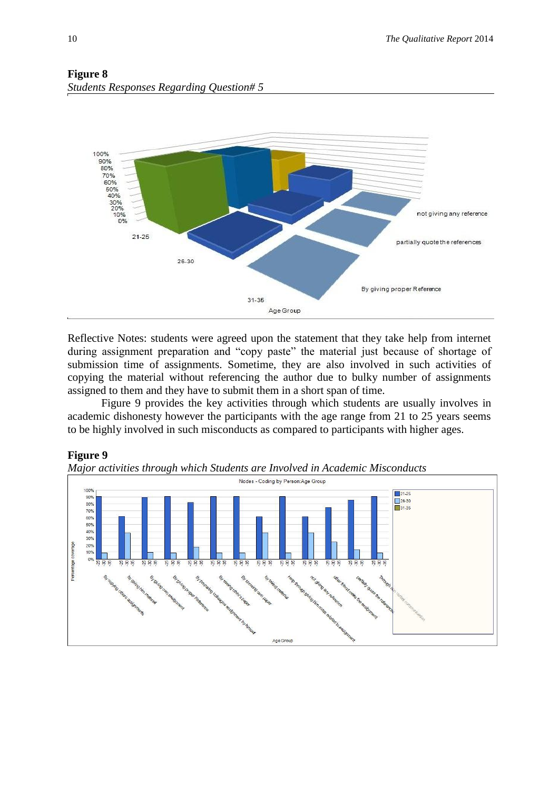

# **Figure 8** *Students Responses Regarding Question# 5*

Reflective Notes: students were agreed upon the statement that they take help from internet during assignment preparation and "copy paste" the material just because of shortage of submission time of assignments. Sometime, they are also involved in such activities of copying the material without referencing the author due to bulky number of assignments assigned to them and they have to submit them in a short span of time.

Figure 9 provides the key activities through which students are usually involves in academic dishonesty however the participants with the age range from 21 to 25 years seems to be highly involved in such misconducts as compared to participants with higher ages.



# **Figure 9**

*Major activities through which Students are Involved in Academic Misconducts*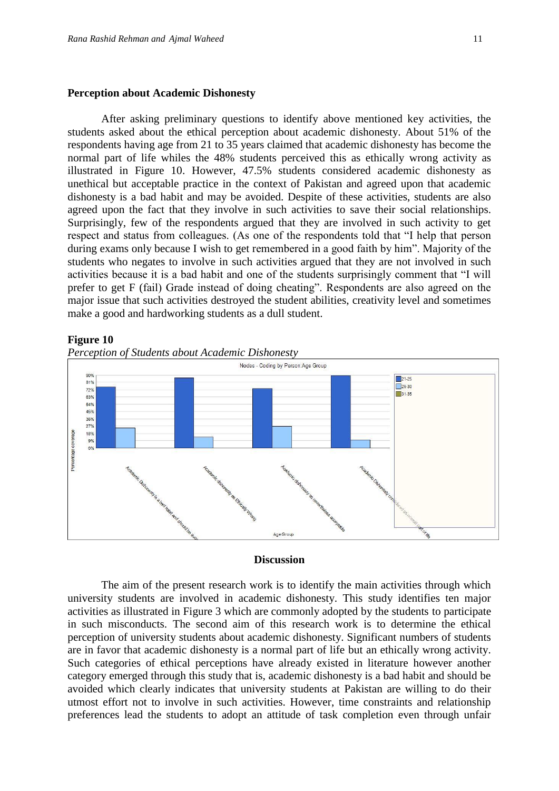#### **Perception about Academic Dishonesty**

After asking preliminary questions to identify above mentioned key activities, the students asked about the ethical perception about academic dishonesty. About 51% of the respondents having age from 21 to 35 years claimed that academic dishonesty has become the normal part of life whiles the 48% students perceived this as ethically wrong activity as illustrated in Figure 10. However, 47.5% students considered academic dishonesty as unethical but acceptable practice in the context of Pakistan and agreed upon that academic dishonesty is a bad habit and may be avoided. Despite of these activities, students are also agreed upon the fact that they involve in such activities to save their social relationships. Surprisingly, few of the respondents argued that they are involved in such activity to get respect and status from colleagues. (As one of the respondents told that "I help that person during exams only because I wish to get remembered in a good faith by him". Majority of the students who negates to involve in such activities argued that they are not involved in such activities because it is a bad habit and one of the students surprisingly comment that "I will prefer to get F (fail) Grade instead of doing cheating". Respondents are also agreed on the major issue that such activities destroyed the student abilities, creativity level and sometimes make a good and hardworking students as a dull student.



#### **Figure 10**



#### **Discussion**

The aim of the present research work is to identify the main activities through which university students are involved in academic dishonesty. This study identifies ten major activities as illustrated in Figure 3 which are commonly adopted by the students to participate in such misconducts. The second aim of this research work is to determine the ethical perception of university students about academic dishonesty. Significant numbers of students are in favor that academic dishonesty is a normal part of life but an ethically wrong activity. Such categories of ethical perceptions have already existed in literature however another category emerged through this study that is, academic dishonesty is a bad habit and should be avoided which clearly indicates that university students at Pakistan are willing to do their utmost effort not to involve in such activities. However, time constraints and relationship preferences lead the students to adopt an attitude of task completion even through unfair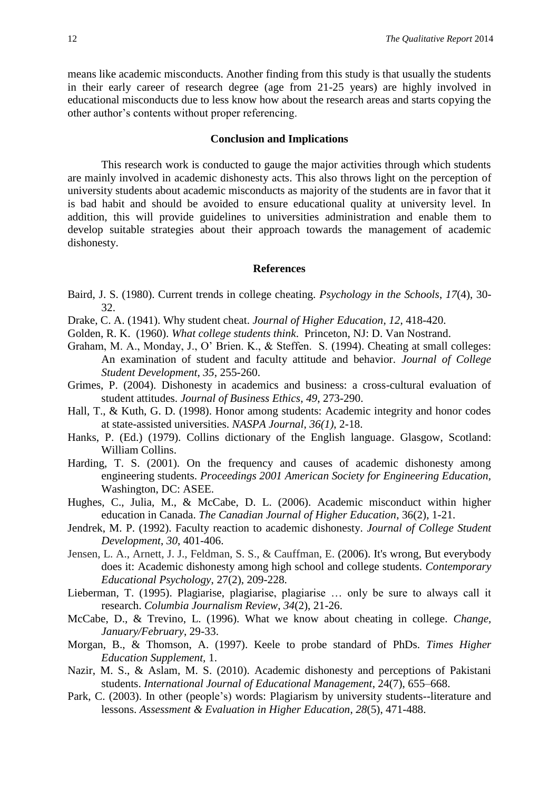means like academic misconducts. Another finding from this study is that usually the students in their early career of research degree (age from 21-25 years) are highly involved in educational misconducts due to less know how about the research areas and starts copying the other author's contents without proper referencing.

#### **Conclusion and Implications**

This research work is conducted to gauge the major activities through which students are mainly involved in academic dishonesty acts. This also throws light on the perception of university students about academic misconducts as majority of the students are in favor that it is bad habit and should be avoided to ensure educational quality at university level. In addition, this will provide guidelines to universities administration and enable them to develop suitable strategies about their approach towards the management of academic dishonesty.

#### **References**

- Baird, J. S. (1980). Current trends in college cheating. *Psychology in the Schools*, *17*(4), 30- 32.
- Drake, C. A. (1941). Why student cheat. *Journal of Higher Education*, *12*, 418-420.
- Golden, R. K. (1960). *What college students think*. Princeton, NJ: D. Van Nostrand.
- Graham, M. A., Monday, J., O' Brien. K., & Steffen. S. (1994). Cheating at small colleges: An examination of student and faculty attitude and behavior. *Journal of College Student Development*, *35*, 255-260.
- Grimes, P. (2004). Dishonesty in academics and business: a cross-cultural evaluation of student attitudes. *Journal of Business Ethics*, *49*, 273-290.
- Hall, T., & Kuth, G. D. (1998). Honor among students: Academic integrity and honor codes at state-assisted universities. *NASPA Journal*, *36(1)*, 2-18.
- Hanks, P. (Ed.) (1979). Collins dictionary of the English language. Glasgow, Scotland: William Collins.
- Harding, T. S. (2001). On the frequency and causes of academic dishonesty among engineering students. *Proceedings 2001 American Society for Engineering Education,*  Washington, DC: ASEE.
- Hughes, C., Julia, M., & McCabe, D. L. (2006). Academic misconduct within higher education in Canada. *The Canadian Journal of Higher Education*, 36(2), 1-21.
- Jendrek, M. P. (1992). Faculty reaction to academic dishonesty. *Journal of College Student Development*, *30*, 401-406.
- Jensen, L. A., Arnett, J. J., Feldman, S. S., & Cauffman, E. (2006). It's wrong, But everybody does it: Academic dishonesty among high school and college students. *Contemporary Educational Psychology*, 27(2), 209-228.
- Lieberman, T. (1995). Plagiarise, plagiarise, plagiarise … only be sure to always call it research. *Columbia Journalism Review*, *34*(2), 21-26.
- McCabe, D., & Trevino, L. (1996). What we know about cheating in college. *Change, January/February*, 29-33.
- Morgan, B., & Thomson, A. (1997). Keele to probe standard of PhDs. *Times Higher Education Supplement,* 1.
- Nazir, M. S., & Aslam, M. S. (2010). Academic dishonesty and perceptions of Pakistani students. *International Journal of Educational Management*, 24(7), 655–668.
- Park, C. (2003). In other (people's) words: Plagiarism by university students--literature and lessons. *Assessment & Evaluation in Higher Education*, *28*(5), 471-488.